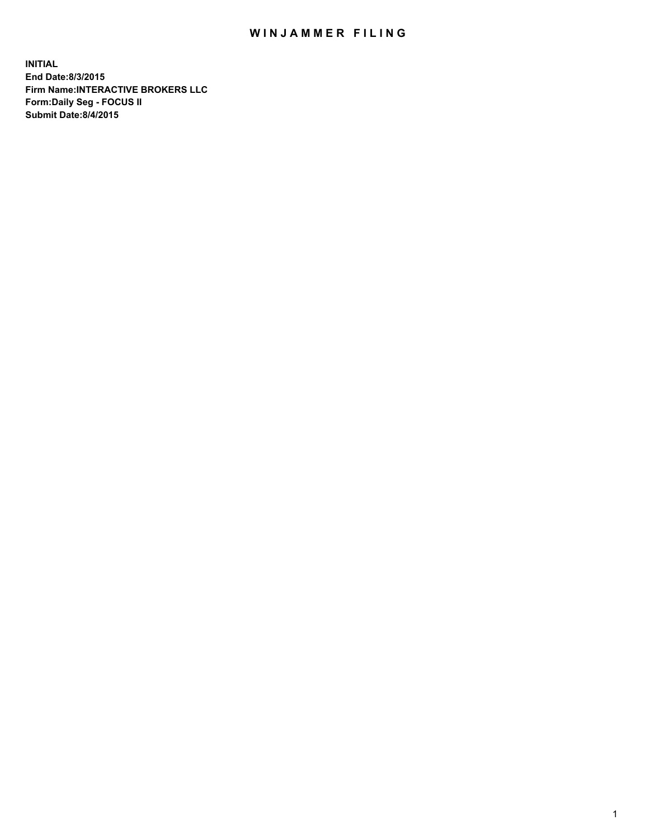## WIN JAMMER FILING

**INITIAL End Date:8/3/2015 Firm Name:INTERACTIVE BROKERS LLC Form:Daily Seg - FOCUS II Submit Date:8/4/2015**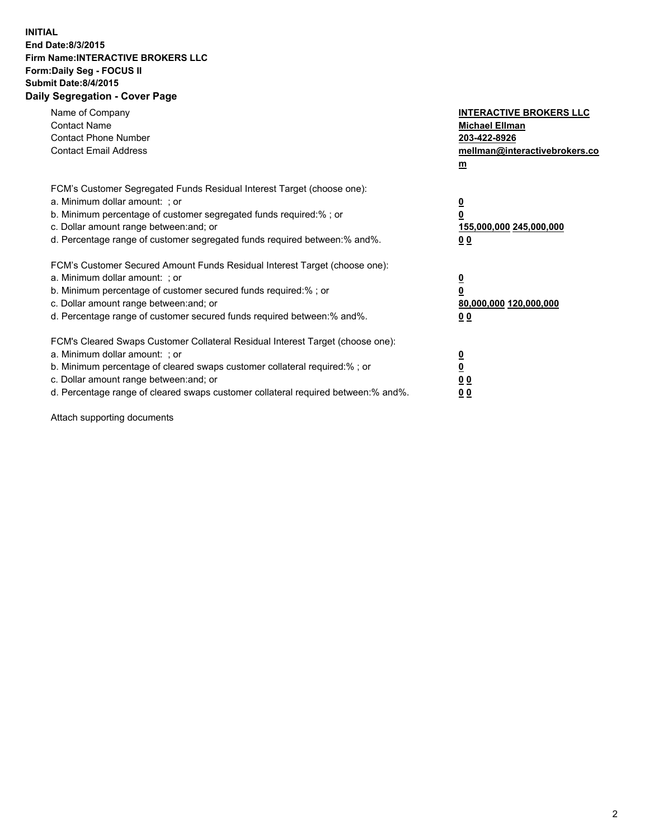## **INITIAL End Date:8/3/2015 Firm Name:INTERACTIVE BROKERS LLC Form:Daily Seg - FOCUS II Submit Date:8/4/2015 Daily Segregation - Cover Page**

| Name of Company<br><b>Contact Name</b><br><b>Contact Phone Number</b><br><b>Contact Email Address</b>                                                                                                                                                                                                                          | <b>INTERACTIVE BROKERS LLC</b><br><b>Michael Ellman</b><br>203-422-8926<br>mellman@interactivebrokers.co<br>$\mathbf{m}$ |
|--------------------------------------------------------------------------------------------------------------------------------------------------------------------------------------------------------------------------------------------------------------------------------------------------------------------------------|--------------------------------------------------------------------------------------------------------------------------|
| FCM's Customer Segregated Funds Residual Interest Target (choose one):<br>a. Minimum dollar amount: ; or<br>b. Minimum percentage of customer segregated funds required:% ; or<br>c. Dollar amount range between: and; or<br>d. Percentage range of customer segregated funds required between: % and %.                       | $\overline{\mathbf{0}}$<br>0<br>155,000,000 245,000,000<br>0 <sub>0</sub>                                                |
| FCM's Customer Secured Amount Funds Residual Interest Target (choose one):<br>a. Minimum dollar amount: ; or<br>b. Minimum percentage of customer secured funds required:%; or<br>c. Dollar amount range between: and; or<br>d. Percentage range of customer secured funds required between:% and%.                            | $\overline{\mathbf{0}}$<br>0<br>80,000,000 120,000,000<br>0 <sub>0</sub>                                                 |
| FCM's Cleared Swaps Customer Collateral Residual Interest Target (choose one):<br>a. Minimum dollar amount: ; or<br>b. Minimum percentage of cleared swaps customer collateral required:% ; or<br>c. Dollar amount range between: and; or<br>d. Percentage range of cleared swaps customer collateral required between:% and%. | $\overline{\mathbf{0}}$<br>$\overline{\mathbf{0}}$<br>0 <sub>0</sub><br>0 <sup>0</sup>                                   |

Attach supporting documents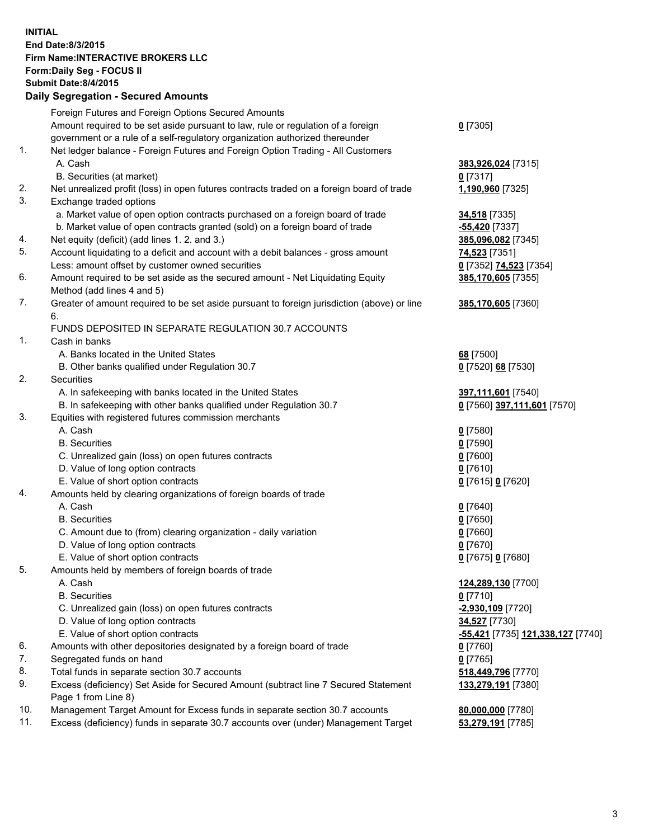## **INITIAL End Date:8/3/2015 Firm Name:INTERACTIVE BROKERS LLC Form:Daily Seg - FOCUS II Submit Date:8/4/2015 Daily Segregation - Secured Amounts**

|     | Foreign Futures and Foreign Options Secured Amounts                                         |                                                       |
|-----|---------------------------------------------------------------------------------------------|-------------------------------------------------------|
|     | Amount required to be set aside pursuant to law, rule or regulation of a foreign            | $0$ [7305]                                            |
|     | government or a rule of a self-regulatory organization authorized thereunder                |                                                       |
| 1.  | Net ledger balance - Foreign Futures and Foreign Option Trading - All Customers             |                                                       |
|     | A. Cash                                                                                     | 383,926,024 [7315]                                    |
|     | B. Securities (at market)                                                                   | $0$ [7317]                                            |
| 2.  | Net unrealized profit (loss) in open futures contracts traded on a foreign board of trade   | 1,190,960 [7325]                                      |
| 3.  | Exchange traded options                                                                     |                                                       |
|     | a. Market value of open option contracts purchased on a foreign board of trade              | 34,518 [7335]                                         |
|     | b. Market value of open contracts granted (sold) on a foreign board of trade                | <mark>-55,420</mark> [7337]                           |
| 4.  | Net equity (deficit) (add lines 1.2. and 3.)                                                | 385,096,082 [7345]                                    |
| 5.  | Account liquidating to a deficit and account with a debit balances - gross amount           | 74,523 [7351]                                         |
|     | Less: amount offset by customer owned securities                                            | 0 [7352] 74,523 [7354]                                |
| 6.  | Amount required to be set aside as the secured amount - Net Liquidating Equity              | 385,170,605 [7355]                                    |
|     | Method (add lines 4 and 5)                                                                  |                                                       |
| 7.  | Greater of amount required to be set aside pursuant to foreign jurisdiction (above) or line | 385,170,605 [7360]                                    |
|     | 6.                                                                                          |                                                       |
|     | FUNDS DEPOSITED IN SEPARATE REGULATION 30.7 ACCOUNTS                                        |                                                       |
| 1.  | Cash in banks                                                                               |                                                       |
|     |                                                                                             |                                                       |
|     | A. Banks located in the United States                                                       | 68 [7500]                                             |
|     | B. Other banks qualified under Regulation 30.7                                              | 0 [7520] 68 [7530]                                    |
| 2.  | Securities                                                                                  |                                                       |
|     | A. In safekeeping with banks located in the United States                                   | 397,111,601 [7540]                                    |
|     | B. In safekeeping with other banks qualified under Regulation 30.7                          | 0 [7560] 397,111,601 [7570]                           |
| 3.  | Equities with registered futures commission merchants                                       |                                                       |
|     | A. Cash                                                                                     | $0$ [7580]                                            |
|     | <b>B.</b> Securities                                                                        | $0$ [7590]                                            |
|     | C. Unrealized gain (loss) on open futures contracts                                         | $0$ [7600]                                            |
|     | D. Value of long option contracts                                                           | $0$ [7610]                                            |
|     | E. Value of short option contracts                                                          | 0 [7615] 0 [7620]                                     |
| 4.  | Amounts held by clearing organizations of foreign boards of trade                           |                                                       |
|     | A. Cash                                                                                     | $0$ [7640]                                            |
|     | <b>B.</b> Securities                                                                        | $0$ [7650]                                            |
|     | C. Amount due to (from) clearing organization - daily variation                             | $0$ [7660]                                            |
|     | D. Value of long option contracts                                                           | $0$ [7670]                                            |
|     | E. Value of short option contracts                                                          | 0 [7675] 0 [7680]                                     |
| 5.  | Amounts held by members of foreign boards of trade                                          |                                                       |
|     | A. Cash                                                                                     | 124,289,130 [7700]                                    |
|     | <b>B.</b> Securities                                                                        | $0$ [7710]                                            |
|     | C. Unrealized gain (loss) on open futures contracts                                         | -2,930,109 [7720]                                     |
|     | D. Value of long option contracts                                                           | 34,527 [7730]                                         |
|     | E. Value of short option contracts                                                          | <mark>-55,421</mark> [7735] <u>121,338,127</u> [7740] |
| 6.  | Amounts with other depositories designated by a foreign board of trade                      | $0$ [7760]                                            |
| 7.  | Segregated funds on hand                                                                    | $0$ [7765]                                            |
| 8.  | Total funds in separate section 30.7 accounts                                               | 518,449,796 [7770]                                    |
| 9.  | Excess (deficiency) Set Aside for Secured Amount (subtract line 7 Secured Statement         | 133,279,191 [7380]                                    |
|     | Page 1 from Line 8)                                                                         |                                                       |
| 10. | Management Target Amount for Excess funds in separate section 30.7 accounts                 | 80,000,000 [7780]                                     |
| 11. | Excess (deficiency) funds in separate 30.7 accounts over (under) Management Target          | 53,279,191 [7785]                                     |
|     |                                                                                             |                                                       |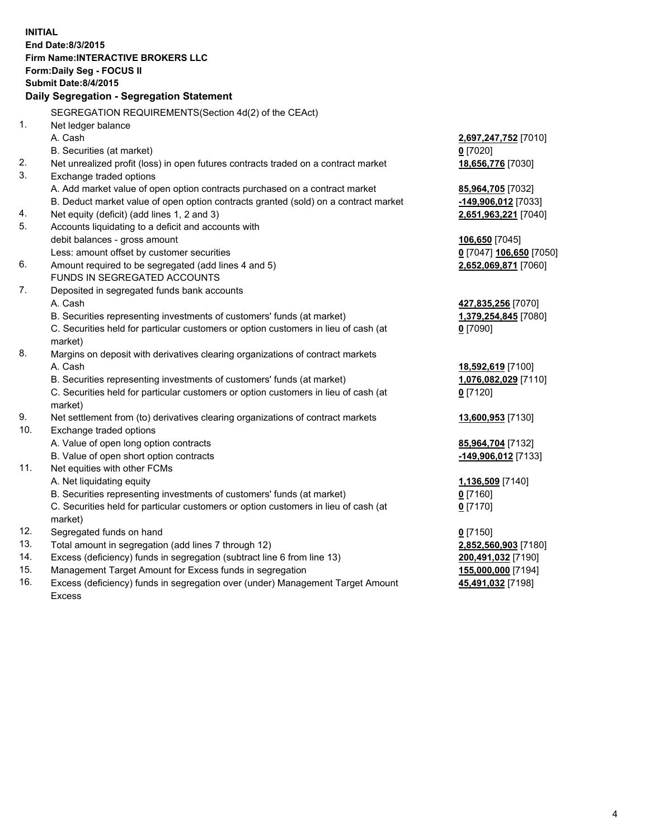**INITIAL End Date:8/3/2015 Firm Name:INTERACTIVE BROKERS LLC Form:Daily Seg - FOCUS II Submit Date:8/4/2015 Daily Segregation - Segregation Statement** SEGREGATION REQUIREMENTS(Section 4d(2) of the CEAct) 1. Net ledger balance A. Cash **2,697,247,752** [7010] B. Securities (at market) **0** [7020] 2. Net unrealized profit (loss) in open futures contracts traded on a contract market **18,656,776** [7030] 3. Exchange traded options A. Add market value of open option contracts purchased on a contract market **85,964,705** [7032] B. Deduct market value of open option contracts granted (sold) on a contract market **-149,906,012** [7033] 4. Net equity (deficit) (add lines 1, 2 and 3) **2,651,963,221** [7040] 5. Accounts liquidating to a deficit and accounts with debit balances - gross amount **106,650** [7045] Less: amount offset by customer securities **0** [7047] **106,650** [7050] 6. Amount required to be segregated (add lines 4 and 5) **2,652,069,871** [7060] FUNDS IN SEGREGATED ACCOUNTS 7. Deposited in segregated funds bank accounts A. Cash **427,835,256** [7070] B. Securities representing investments of customers' funds (at market) **1,379,254,845** [7080] C. Securities held for particular customers or option customers in lieu of cash (at market) **0** [7090] 8. Margins on deposit with derivatives clearing organizations of contract markets A. Cash **18,592,619** [7100] B. Securities representing investments of customers' funds (at market) **1,076,082,029** [7110] C. Securities held for particular customers or option customers in lieu of cash (at market) **0** [7120] 9. Net settlement from (to) derivatives clearing organizations of contract markets **13,600,953** [7130] 10. Exchange traded options A. Value of open long option contracts **85,964,704** [7132] B. Value of open short option contracts **-149,906,012** [7133] 11. Net equities with other FCMs A. Net liquidating equity **1,136,509** [7140] B. Securities representing investments of customers' funds (at market) **0** [7160] C. Securities held for particular customers or option customers in lieu of cash (at market) **0** [7170] 12. Segregated funds on hand **0** [7150] 13. Total amount in segregation (add lines 7 through 12) **2,852,560,903** [7180] 14. Excess (deficiency) funds in segregation (subtract line 6 from line 13) **200,491,032** [7190] 15. Management Target Amount for Excess funds in segregation **155,000,000** [7194]

16. Excess (deficiency) funds in segregation over (under) Management Target Amount Excess

**45,491,032** [7198]